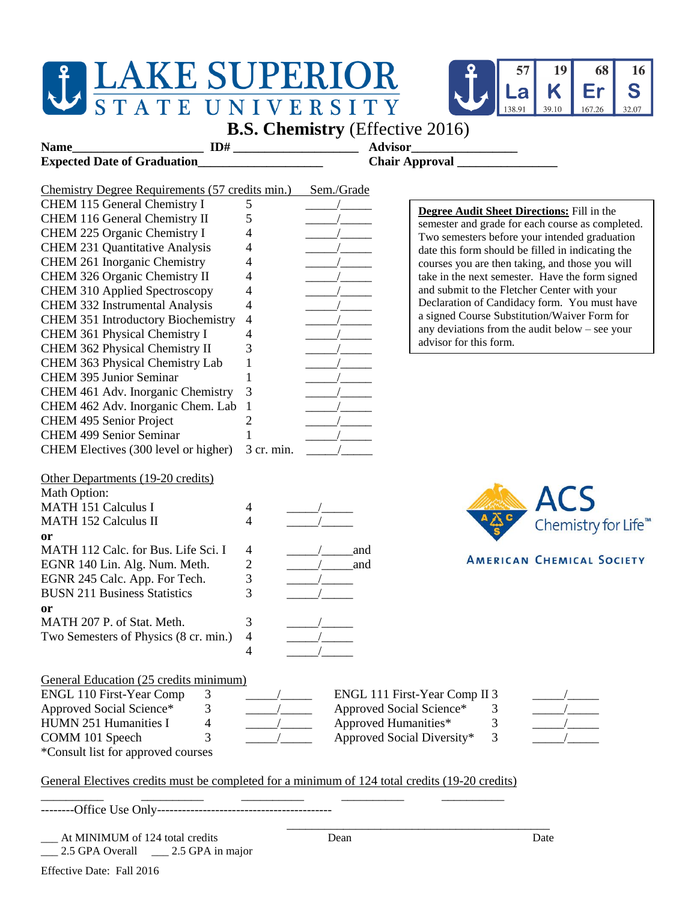## **JEAKE SUPERIOR STATE UNIVERSITY**



| <b>B.S. Chemistry</b> (Effective 2016)                                                                                      |                |                         |                                                                            |                                                  |
|-----------------------------------------------------------------------------------------------------------------------------|----------------|-------------------------|----------------------------------------------------------------------------|--------------------------------------------------|
| ID#<br>Name                                                                                                                 |                |                         | <b>Advisor</b>                                                             |                                                  |
| <b>Expected Date of Graduation</b>                                                                                          |                | Chair Approval ________ |                                                                            |                                                  |
|                                                                                                                             |                |                         |                                                                            |                                                  |
| Chemistry Degree Requirements (57 credits min.)                                                                             |                | Sem./Grade              |                                                                            |                                                  |
| CHEM 115 General Chemistry I                                                                                                | 5              |                         | <b>Degree Audit Sheet Directions:</b> Fill in the                          |                                                  |
| CHEM 116 General Chemistry II                                                                                               | 5              |                         |                                                                            | semester and grade for each course as completed. |
| CHEM 225 Organic Chemistry I                                                                                                | 4              |                         |                                                                            | Two semesters before your intended graduation    |
| <b>CHEM 231 Quantitative Analysis</b>                                                                                       | 4              |                         | date this form should be filled in indicating the                          |                                                  |
| CHEM 261 Inorganic Chemistry                                                                                                | 4              |                         | courses you are then taking, and those you will                            |                                                  |
| CHEM 326 Organic Chemistry II                                                                                               | 4              |                         |                                                                            | take in the next semester. Have the form signed  |
| <b>CHEM 310 Applied Spectroscopy</b>                                                                                        | 4              |                         | and submit to the Fletcher Center with your                                |                                                  |
| CHEM 332 Instrumental Analysis                                                                                              | 4              |                         |                                                                            | Declaration of Candidacy form. You must have     |
| <b>CHEM 351 Introductory Biochemistry</b>                                                                                   | 4              |                         | a signed Course Substitution/Waiver Form for                               |                                                  |
| CHEM 361 Physical Chemistry I                                                                                               | 4              |                         | any deviations from the audit below $-$ see your<br>advisor for this form. |                                                  |
| CHEM 362 Physical Chemistry II                                                                                              | 3              |                         |                                                                            |                                                  |
| CHEM 363 Physical Chemistry Lab                                                                                             | 1              |                         |                                                                            |                                                  |
| CHEM 395 Junior Seminar                                                                                                     |                |                         |                                                                            |                                                  |
| CHEM 461 Adv. Inorganic Chemistry                                                                                           | 3              |                         |                                                                            |                                                  |
| CHEM 462 Adv. Inorganic Chem. Lab                                                                                           | $\overline{1}$ |                         |                                                                            |                                                  |
| CHEM 495 Senior Project                                                                                                     | 2              |                         |                                                                            |                                                  |
| <b>CHEM 499 Senior Seminar</b>                                                                                              | 1              |                         |                                                                            |                                                  |
| CHEM Electives (300 level or higher)                                                                                        | 3 cr. min.     |                         |                                                                            |                                                  |
| Other Departments (19-20 credits)<br>Math Option:<br><b>MATH 151 Calculus I</b><br><b>MATH 152 Calculus II</b><br><b>or</b> | 4<br>4         |                         |                                                                            | ALS<br>-<br>Chemistry for Life <sup>™</sup>      |
| MATH 112 Calc. for Bus. Life Sci. I                                                                                         | 4              |                         | and                                                                        |                                                  |
| EGNR 140 Lin. Alg. Num. Meth.                                                                                               | $\overline{c}$ |                         | and                                                                        | <b>AMERICAN CHEMICAL SOCIETY</b>                 |
| EGNR 245 Calc. App. For Tech.                                                                                               | 3              |                         |                                                                            |                                                  |
| <b>BUSN 211 Business Statistics</b>                                                                                         | 3              |                         |                                                                            |                                                  |
| or                                                                                                                          |                |                         |                                                                            |                                                  |
| MATH 207 P. of Stat. Meth.                                                                                                  | 3              |                         |                                                                            |                                                  |
| Two Semesters of Physics (8 cr. min.)                                                                                       | 4              |                         |                                                                            |                                                  |
|                                                                                                                             | 4              |                         |                                                                            |                                                  |
|                                                                                                                             |                |                         |                                                                            |                                                  |
| General Education (25 credits minimum)                                                                                      |                |                         |                                                                            |                                                  |
| <b>ENGL 110 First-Year Comp</b><br>3                                                                                        |                |                         | ENGL 111 First-Year Comp II 3                                              |                                                  |
| Approved Social Science*<br>3                                                                                               |                |                         | Approved Social Science*<br>3                                              |                                                  |
| HUMN 251 Humanities I<br>4                                                                                                  |                |                         | Approved Humanities*<br>3                                                  |                                                  |
| COMM 101 Speech<br>3                                                                                                        |                |                         | Approved Social Diversity*<br>3                                            |                                                  |
| *Consult list for approved courses                                                                                          |                |                         |                                                                            |                                                  |
|                                                                                                                             |                |                         |                                                                            |                                                  |
| General Electives credits must be completed for a minimum of 124 total credits (19-20 credits)                              |                |                         |                                                                            |                                                  |
|                                                                                                                             |                |                         |                                                                            |                                                  |
|                                                                                                                             |                |                         |                                                                            |                                                  |

\_\_\_ 2.5 GPA Overall \_\_\_ 2.5 GPA in major

\_\_\_\_\_\_\_\_\_\_\_\_\_\_\_\_\_\_\_\_\_\_\_\_\_\_\_\_\_\_\_\_\_\_\_\_\_\_\_\_\_\_